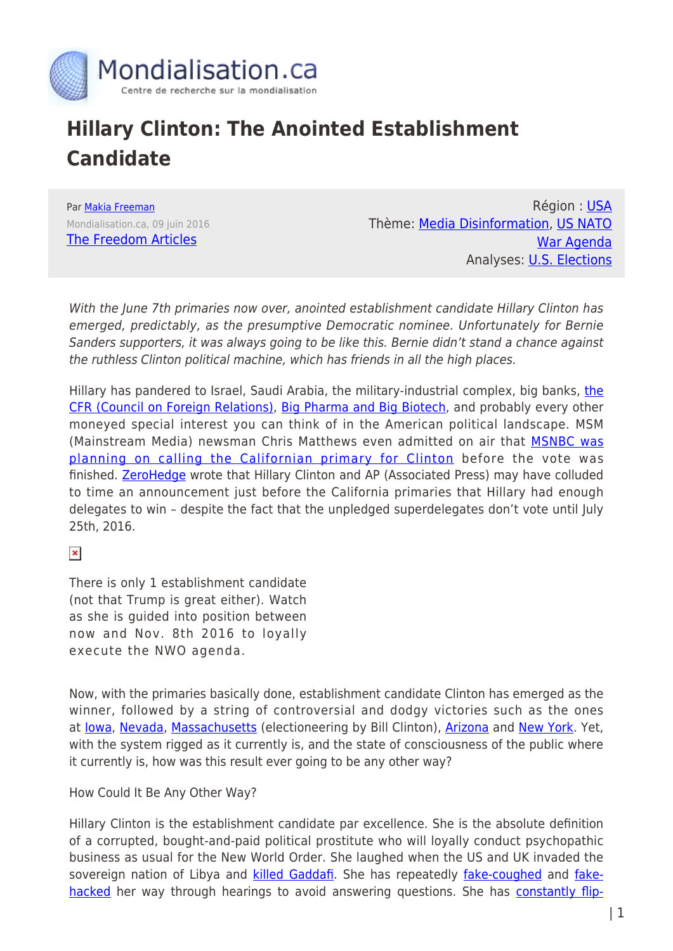

## **Hillary Clinton: The Anointed Establishment Candidate**

Par [Makia Freeman](https://www.mondialisation.ca/author/makia-freeman) Mondialisation.ca, 09 juin 2016 [The Freedom Articles](http://freedom-articles.toolsforfreedom.com/anointed-establishment-candidate-clinton/)

Région : [USA](https://www.mondialisation.ca/region/usa) Thème: [Media Disinformation,](https://www.mondialisation.ca/theme/media-disinformation) [US NATO](https://www.mondialisation.ca/theme/us-nato-war-agenda) [War Agenda](https://www.mondialisation.ca/theme/us-nato-war-agenda) Analyses: [U.S. Elections](https://www.mondialisation.ca/indepthreport/u-s-elections)

With the June 7th primaries now over, anointed establishment candidate Hillary Clinton has emerged, predictably, as the presumptive Democratic nominee. Unfortunately for Bernie Sanders supporters, it was always going to be like this. Bernie didn't stand a chance against the ruthless Clinton political machine, which has friends in all the high places.

Hillary has pandered to Israel, Saudi Arabia, [the](http://freedom-articles.toolsforfreedom.com/clinton-takes-orders-from-cfr/) military-industrial complex, big banks, the [CFR \(Council on Foreign Relations\)](http://freedom-articles.toolsforfreedom.com/clinton-takes-orders-from-cfr/), [Big Pharma and Big Biotech,](http://freedom-articles.toolsforfreedom.com/2016-candidates-stand-on-vaccines-gmos/) and probably every other moneyed special interest you can think of in the American political landscape. MSM (Mainstream Media) newsman Chris Matthews even admitted on air that **[MSNBC was](https://www.youtube.com/watch?v=wGG3DJAALkw)** [planning on calling the Californian primary for Clinton](https://www.youtube.com/watch?v=wGG3DJAALkw) before the vote was finished. [ZeroHedge](http://www.zerohedge.com/news/2016-06-07/was-hillary-caught-colluding-ap-announce-delegate-win-california) wrote that Hillary Clinton and AP (Associated Press) may have colluded to time an announcement just before the California primaries that Hillary had enough delegates to win – despite the fact that the unpledged superdelegates don't vote until July 25th, 2016.

 $\pmb{\times}$ 

There is only 1 establishment candidate (not that Trump is great either). Watch as she is guided into position between now and Nov. 8th 2016 to loyally execute the NWO agenda.

Now, with the primaries basically done, establishment candidate Clinton has emerged as the winner, followed by a string of controversial and dodgy victories such as the ones at lowa, [Nevada,](https://www.youtube.com/watch?v=tVa4G32M7Bc) [Massachusetts](http://www.theblaze.com/stories/2016/03/02/how-is-this-legal-a-new-clinton-controversy-in-massachusetts-polling-places/) (electioneering by Bill Clinton), [Arizona](http://usuncut.com/politics/5-examples-voter-suppression-arizona-primary/) and [New York](http://www.nydailynews.com/news/politics/hundreds-ny-voters-file-lawsuit-alleged-voter-fraud-article-1.2603876). Yet, with the system rigged as it currently is, and the state of consciousness of the public where it currently is, how was this result ever going to be any other way?

How Could It Be Any Other Way?

Hillary Clinton is the establishment candidate par excellence. She is the absolute definition of a corrupted, bought-and-paid political prostitute who will loyally conduct psychopathic business as usual for the New World Order. She laughed when the US and UK invaded the sovereign nation of Libya and [killed Gaddafi](https://www.youtube.com/watch?v=UtH7iv4ip1U). She has repeatedly [fake-coughed](https://www.youtube.com/watch?v=M5nd1xeiqP0) and [fake](https://www.youtube.com/watch?v=M5nd1xeiqP0)[hacked](https://www.youtube.com/watch?v=M5nd1xeiqP0) her way through hearings to avoid answering questions. She has [constantly flip-](https://www.youtube.com/watch?v=t6_ULryoM3Q)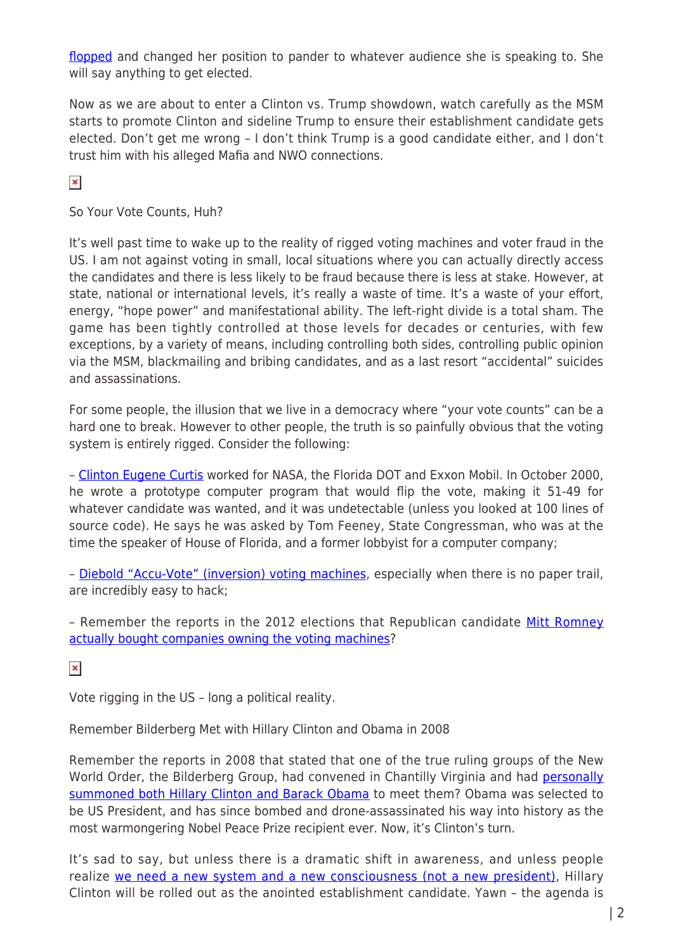[flopped](https://www.youtube.com/watch?v=t6_ULryoM3Q) and changed her position to pander to whatever audience she is speaking to. She will say anything to get elected.

Now as we are about to enter a Clinton vs. Trump showdown, watch carefully as the MSM starts to promote Clinton and sideline Trump to ensure their establishment candidate gets elected. Don't get me wrong – I don't think Trump is a good candidate either, and I don't trust him with his alleged Mafia and NWO connections.

 $\pmb{\times}$ 

So Your Vote Counts, Huh?

It's well past time to wake up to the reality of rigged voting machines and voter fraud in the US. I am not against voting in small, local situations where you can actually directly access the candidates and there is less likely to be fraud because there is less at stake. However, at state, national or international levels, it's really a waste of time. It's a waste of your effort, energy, "hope power" and manifestational ability. The left-right divide is a total sham. The game has been tightly controlled at those levels for decades or centuries, with few exceptions, by a variety of means, including controlling both sides, controlling public opinion via the MSM, blackmailing and bribing candidates, and as a last resort "accidental" suicides and assassinations.

For some people, the illusion that we live in a democracy where "your vote counts" can be a hard one to break. However to other people, the truth is so painfully obvious that the voting system is entirely rigged. Consider the following:

- [Clinton Eugene Curtis](https://www.youtube.com/watch?v=JEzY2tnwExs) worked for NASA, the Florida DOT and Exxon Mobil. In October 2000, he wrote a prototype computer program that would flip the vote, making it 51-49 for whatever candidate was wanted, and it was undetectable (unless you looked at 100 lines of source code). He says he was asked by Tom Feeney, State Congressman, who was at the time the speaker of House of Florida, and a former lobbyist for a computer company;

– [Diebold "Accu-Vote" \(inversion\) voting machines](https://www.youtube.com/watch?v=Cx5YyiyWOH4), especially when there is no paper trail, are incredibly easy to hack;

- Remember the reports in the 2012 elections that Republican candidate [Mitt Romney](http://freedom-articles.toolsforfreedom.com/romney-vote-rigging-now-possible/) [actually bought companies owning the voting machines](http://freedom-articles.toolsforfreedom.com/romney-vote-rigging-now-possible/)?

 $\pmb{\times}$ 

Vote rigging in the US – long a political reality.

Remember Bilderberg Met with Hillary Clinton and Obama in 2008

Remember the reports in 2008 that stated that one of the true ruling groups of the New World Order, the Bilderberg Group, had convened in Chantilly Virginia and had [personally](http://www.prisonplanet.com/articles/june2008/060608_hillary_obama.htm) [summoned both Hillary Clinton and Barack Obama](http://www.prisonplanet.com/articles/june2008/060608_hillary_obama.htm) to meet them? Obama was selected to be US President, and has since bombed and drone-assassinated his way into history as the most warmongering Nobel Peace Prize recipient ever. Now, it's Clinton's turn.

It's sad to say, but unless there is a dramatic shift in awareness, and unless people realize [we need a new system and a new consciousness \(not a new president\),](http://freedom-articles.toolsforfreedom.com/new-system-consciousness-not-new-president/) Hillary Clinton will be rolled out as the anointed establishment candidate. Yawn – the agenda is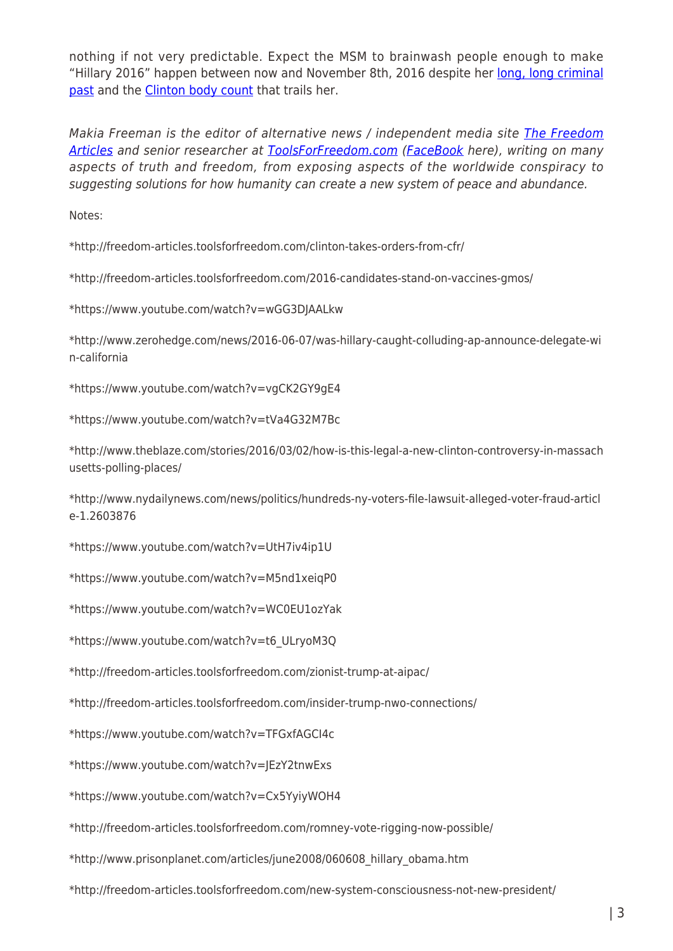nothing if not very predictable. Expect the MSM to brainwash people enough to make "Hillary 2016" happen between now and November 8th, 2016 despite her [long, long criminal](http://freedom-articles.toolsforfreedom.com/44-reasons-to-not-elect-hillary/) [past](http://freedom-articles.toolsforfreedom.com/44-reasons-to-not-elect-hillary/) and the [Clinton body count](http://freedom-articles.toolsforfreedom.com/voting-for-hillary-clinton-body-count/) that trails her.

Makia Freeman is the editor of alternative news / independent media site [The Freedom](http://freedom-articles.toolsforfreedom.com/) [Articles](http://freedom-articles.toolsforfreedom.com/) and senior researcher at [ToolsForFreedom.com](http://toolsforfreedom.com/) ([FaceBook](https://www.facebook.com/toolsforfreedom) here), writing on many aspects of truth and freedom, from exposing aspects of the worldwide conspiracy to suggesting solutions for how humanity can create a new system of peace and abundance.

Notes:

\*http://freedom-articles.toolsforfreedom.com/clinton-takes-orders-from-cfr/

\*http://freedom-articles.toolsforfreedom.com/2016-candidates-stand-on-vaccines-gmos/

\*https://www.youtube.com/watch?v=wGG3DJAALkw

\*http://www.zerohedge.com/news/2016-06-07/was-hillary-caught-colluding-ap-announce-delegate-wi n-california

\*https://www.youtube.com/watch?v=vgCK2GY9gE4

\*https://www.youtube.com/watch?v=tVa4G32M7Bc

\*http://www.theblaze.com/stories/2016/03/02/how-is-this-legal-a-new-clinton-controversy-in-massach usetts-polling-places/

\*http://www.nydailynews.com/news/politics/hundreds-ny-voters-file-lawsuit-alleged-voter-fraud-articl e-1.2603876

\*https://www.youtube.com/watch?v=UtH7iv4ip1U

\*https://www.youtube.com/watch?v=M5nd1xeiqP0

\*https://www.youtube.com/watch?v=WC0EU1ozYak

\*https://www.youtube.com/watch?v=t6\_ULryoM3Q

\*http://freedom-articles.toolsforfreedom.com/zionist-trump-at-aipac/

\*http://freedom-articles.toolsforfreedom.com/insider-trump-nwo-connections/

\*https://www.youtube.com/watch?v=TFGxfAGCI4c

\*https://www.youtube.com/watch?v=JEzY2tnwExs

\*https://www.youtube.com/watch?v=Cx5YyiyWOH4

\*http://freedom-articles.toolsforfreedom.com/romney-vote-rigging-now-possible/

\*http://www.prisonplanet.com/articles/june2008/060608\_hillary\_obama.htm

\*http://freedom-articles.toolsforfreedom.com/new-system-consciousness-not-new-president/